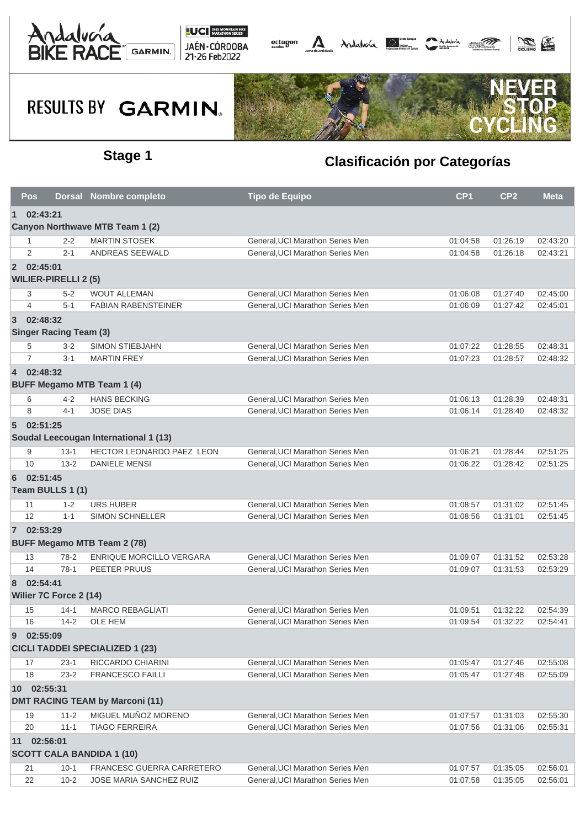





|                | <b>Pos</b>                                         |                               | Dorsal Nombre completo                 | <b>Tipo de Equipo</b>            | CP <sub>1</sub> | CP <sub>2</sub> | <b>Meta</b> |  |  |
|----------------|----------------------------------------------------|-------------------------------|----------------------------------------|----------------------------------|-----------------|-----------------|-------------|--|--|
| $\mathbf 1$    | 02:43:21                                           |                               |                                        |                                  |                 |                 |             |  |  |
|                |                                                    |                               | Canyon Northwave MTB Team 1 (2)        |                                  |                 |                 |             |  |  |
|                | -1                                                 | $2 - 2$                       | <b>MARTIN STOSEK</b>                   | General, UCI Marathon Series Men | 01:04:58        | 01:26:19        | 02:43:20    |  |  |
|                | 2                                                  | $2 - 1$                       | ANDREAS SEEWALD                        | General, UCI Marathon Series Men | 01:04:58        | 01:26:18        | 02:43:21    |  |  |
|                | 2 02:45:01                                         | <b>WILIER-PIRELLI 2 (5)</b>   |                                        |                                  |                 |                 |             |  |  |
|                | 3                                                  | $5 - 2$                       | <b>WOUT ALLEMAN</b>                    | General, UCI Marathon Series Men | 01:06:08        | 01:27:40        | 02:45:00    |  |  |
|                | 4                                                  | $5 - 1$                       | <b>FABIAN RABENSTEINER</b>             | General, UCI Marathon Series Men | 01:06:09        | 01:27:42        | 02:45:01    |  |  |
| $\overline{3}$ | 02:48:32                                           |                               |                                        |                                  |                 |                 |             |  |  |
|                |                                                    | <b>Singer Racing Team (3)</b> |                                        |                                  |                 |                 |             |  |  |
|                | 5                                                  | $3 - 2$                       | <b>SIMON STIEBJAHN</b>                 | General, UCI Marathon Series Men | 01:07:22        | 01:28:55        | 02:48:31    |  |  |
|                | $\overline{7}$                                     | $3 - 1$                       | <b>MARTIN FREY</b>                     | General, UCI Marathon Series Men | 01:07:23        | 01:28:57        | 02:48:32    |  |  |
| $\overline{4}$ | 02:48:32                                           |                               | <b>BUFF Megamo MTB Team 1 (4)</b>      |                                  |                 |                 |             |  |  |
|                | 6                                                  | $4 - 2$                       | <b>HANS BECKING</b>                    | General, UCI Marathon Series Men | 01:06:13        | 01:28:39        | 02:48:31    |  |  |
|                | 8                                                  | $4 - 1$                       | <b>JOSE DIAS</b>                       | General, UCI Marathon Series Men | 01:06:14        | 01:28:40        | 02:48:32    |  |  |
| 5 <sup>5</sup> | 02:51:25                                           |                               | Soudal Leecougan International 1 (13)  |                                  |                 |                 |             |  |  |
|                | 9                                                  | $13 - 1$                      | HECTOR LEONARDO PAEZ LEON              | General, UCI Marathon Series Men | 01:06:21        | 01:28:44        | 02:51:25    |  |  |
|                | 10                                                 | $13 - 2$                      | <b>DANIELE MENSI</b>                   | General, UCI Marathon Series Men | 01:06:22        | 01:28:42        | 02:51:25    |  |  |
| 6              | 02:51:45                                           | Team BULLS 1 (1)              |                                        |                                  |                 |                 |             |  |  |
|                | 11                                                 | $1 - 2$                       | <b>URS HUBER</b>                       | General, UCI Marathon Series Men | 01:08:57        | 01:31:02        | 02:51:45    |  |  |
|                | 12                                                 | $1 - 1$                       | <b>SIMON SCHNELLER</b>                 | General, UCI Marathon Series Men | 01:08:56        | 01:31:01        | 02:51:45    |  |  |
|                | 7 02:53:29                                         |                               | <b>BUFF Megamo MTB Team 2 (78)</b>     |                                  |                 |                 |             |  |  |
|                | 13                                                 | $78-2$                        | <b>ENRIQUE MORCILLO VERGARA</b>        | General, UCI Marathon Series Men | 01:09:07        | 01:31:52        | 02:53:28    |  |  |
|                | 14                                                 | $78-1$                        | PEETER PRUUS                           | General.UCI Marathon Series Men  | 01:09:07        | 01:31:53        | 02:53:29    |  |  |
| 8              | 02:54:41                                           | Wilier 7C Force 2 (14)        |                                        |                                  |                 |                 |             |  |  |
|                | 15                                                 | $14-1$                        | <b>MARCO REBAGLIATI</b>                | General, UCI Marathon Series Men | 01:09:51        | 01:32:22        | 02:54:39    |  |  |
|                | 16                                                 | $14 - 2$                      | <b>OLE HEM</b>                         | General, UCI Marathon Series Men | 01:09:54        | 01:32:22        | 02:54:41    |  |  |
| 9              | 02:55:09<br><b>CICLI TADDEI SPECIALIZED 1 (23)</b> |                               |                                        |                                  |                 |                 |             |  |  |
|                | 17                                                 | $23-1$                        | RICCARDO CHIARINI                      | General, UCI Marathon Series Men | 01:05:47        | 01:27:46        | 02:55:08    |  |  |
|                | 18                                                 | $23 - 2$                      | <b>FRANCESCO FAILLI</b>                | General.UCI Marathon Series Men  | 01:05:47        | 01:27:48        | 02:55:09    |  |  |
|                | 10 02:55:31                                        |                               | <b>DMT RACING TEAM by Marconi (11)</b> |                                  |                 |                 |             |  |  |
|                | 19                                                 | $11 - 2$                      | MIGUEL MUÑOZ MORENO                    | General, UCI Marathon Series Men | 01:07:57        | 01:31:03        | 02:55:30    |  |  |
|                | 20                                                 | $11 - 1$                      | <b>TIAGO FERREIRA</b>                  | General, UCI Marathon Series Men | 01:07:56        | 01:31:06        | 02:55:31    |  |  |
|                | 11 02:56:01                                        |                               | <b>SCOTT CALA BANDIDA 1 (10)</b>       |                                  |                 |                 |             |  |  |
|                | 21                                                 | $10 - 1$                      | FRANCESC GUERRA CARRETERO              | General, UCI Marathon Series Men | 01:07:57        | 01:35:05        | 02:56:01    |  |  |
|                | 22                                                 | $10 - 2$                      | JOSE MARIA SANCHEZ RUIZ                | General, UCI Marathon Series Men | 01:07:58        | 01:35:05        | 02:56:01    |  |  |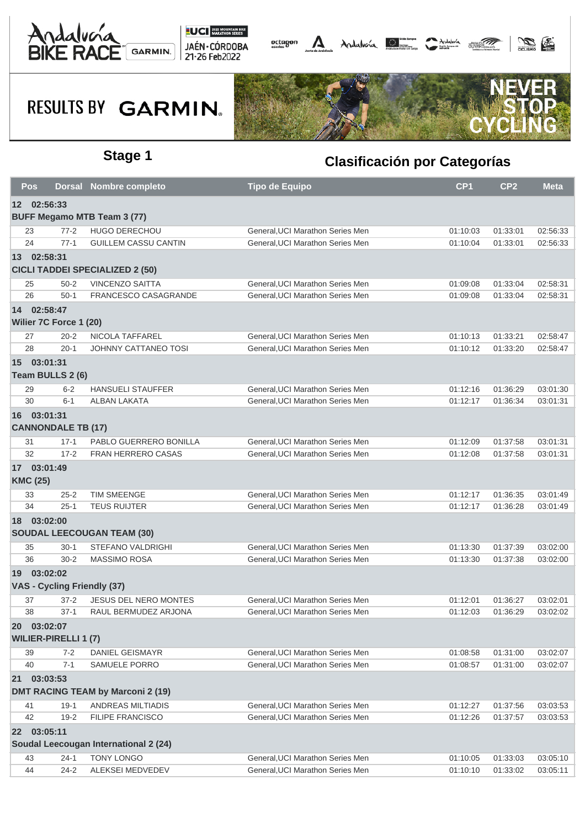





| Pos             |                             | <b>Dorsal Nombre completo</b>            | Tipo de Equipo                   | CP <sub>1</sub> | CP <sub>2</sub> | <b>Meta</b> |
|-----------------|-----------------------------|------------------------------------------|----------------------------------|-----------------|-----------------|-------------|
|                 | 12 02:56:33                 |                                          |                                  |                 |                 |             |
|                 |                             | <b>BUFF Megamo MTB Team 3 (77)</b>       |                                  |                 |                 |             |
| 23              | $77 - 2$                    | <b>HUGO DERECHOU</b>                     | General, UCI Marathon Series Men | 01:10:03        | 01:33:01        | 02:56:33    |
| 24              | $77-1$                      | <b>GUILLEM CASSU CANTIN</b>              | General, UCI Marathon Series Men | 01:10:04        | 01:33:01        | 02:56:33    |
|                 | 13 02:58:31                 |                                          |                                  |                 |                 |             |
|                 |                             | <b>CICLI TADDEI SPECIALIZED 2 (50)</b>   |                                  |                 |                 |             |
| 25              | $50 - 2$                    | <b>VINCENZO SAITTA</b>                   | General, UCI Marathon Series Men | 01:09:08        | 01:33:04        | 02:58:31    |
| 26              | $50-1$                      | FRANCESCO CASAGRANDE                     | General, UCI Marathon Series Men | 01:09:08        | 01:33:04        | 02:58:31    |
|                 | 14 02:58:47                 |                                          |                                  |                 |                 |             |
|                 | Wilier 7C Force 1 (20)      |                                          |                                  |                 |                 |             |
| 27              | $20 - 2$                    | NICOLA TAFFAREL                          | General, UCI Marathon Series Men | 01:10:13        | 01:33:21        | 02:58:47    |
| 28              | $20-1$                      | JOHNNY CATTANEO TOSI                     | General, UCI Marathon Series Men | 01:10:12        | 01:33:20        | 02:58:47    |
|                 | 15 03:01:31                 |                                          |                                  |                 |                 |             |
|                 | Team BULLS 2 (6)            |                                          |                                  |                 |                 |             |
| 29              | $6 - 2$                     | <b>HANSUELI STAUFFER</b>                 | General, UCI Marathon Series Men | 01:12:16        | 01:36:29        | 03:01:30    |
| 30              | $6 - 1$                     | <b>ALBAN LAKATA</b>                      | General.UCI Marathon Series Men  | 01:12:17        | 01:36:34        | 03:01:31    |
|                 | 16 03:01:31                 |                                          |                                  |                 |                 |             |
|                 | <b>CANNONDALE TB (17)</b>   |                                          |                                  |                 |                 |             |
| 31              | $17 - 1$                    | PABLO GUERRERO BONILLA                   | General, UCI Marathon Series Men | 01:12:09        | 01:37:58        | 03:01:31    |
| 32              | $17 - 2$                    | <b>FRAN HERRERO CASAS</b>                | General, UCI Marathon Series Men | 01:12:08        | 01:37:58        | 03:01:31    |
|                 | 17 03:01:49                 |                                          |                                  |                 |                 |             |
| <b>KMC (25)</b> |                             |                                          |                                  |                 |                 |             |
| 33              | $25 - 2$                    | TIM SMEENGE                              | General, UCI Marathon Series Men | 01:12:17        | 01:36:35        | 03:01:49    |
| 34              | $25 - 1$                    | <b>TEUS RUIJTER</b>                      | General, UCI Marathon Series Men | 01:12:17        | 01:36:28        | 03:01:49    |
|                 | 18 03:02:00                 |                                          |                                  |                 |                 |             |
|                 |                             | <b>SOUDAL LEECOUGAN TEAM (30)</b>        |                                  |                 |                 |             |
| 35              | $30-1$                      | <b>STEFANO VALDRIGHI</b>                 | General, UCI Marathon Series Men | 01:13:30        | 01:37:39        | 03:02:00    |
| 36              | $30 - 2$                    | <b>MASSIMO ROSA</b>                      | General, UCI Marathon Series Men | 01:13:30        | 01:37:38        | 03:02:00    |
|                 | 19 03:02:02                 |                                          |                                  |                 |                 |             |
|                 | VAS - Cycling Friendly (37) |                                          |                                  |                 |                 |             |
| 37              | $37 - 2$                    | <b>JESUS DEL NERO MONTES</b>             | General, UCI Marathon Series Men | 01:12:01        | 01:36:27        | 03:02:01    |
| 38              | $37-1$                      | RAUL BERMUDEZ ARJONA                     | General, UCI Marathon Series Men | 01:12:03        | 01:36:29        | 03:02:02    |
|                 | 20 03:02:07                 |                                          |                                  |                 |                 |             |
|                 | <b>WILIER-PIRELLI 1 (7)</b> |                                          |                                  |                 |                 |             |
| 39              | $7 - 2$                     | <b>DANIEL GEISMAYR</b>                   | General, UCI Marathon Series Men | 01:08:58        | 01:31:00        | 03:02:07    |
| 40              | $7 - 1$                     | SAMUELE PORRO                            | General, UCI Marathon Series Men | 01:08:57        | 01:31:00        | 03:02:07    |
|                 | 21 03:03:53                 |                                          |                                  |                 |                 |             |
|                 |                             | <b>DMT RACING TEAM by Marconi 2 (19)</b> |                                  |                 |                 |             |
| 41              | $19-1$                      | ANDREAS MILTIADIS                        | General, UCI Marathon Series Men | 01:12:27        | 01:37:56        | 03:03:53    |
| 42              | $19 - 2$                    | <b>FILIPE FRANCISCO</b>                  | General, UCI Marathon Series Men | 01:12:26        | 01:37:57        | 03:03:53    |
|                 | 22 03:05:11                 |                                          |                                  |                 |                 |             |
|                 |                             | Soudal Leecougan International 2 (24)    |                                  |                 |                 |             |
| 43              | $24-1$                      | TONY LONGO                               | General, UCI Marathon Series Men | 01:10:05        | 01:33:03        | 03:05:10    |
| 44              | $24 - 2$                    | ALEKSEI MEDVEDEV                         | General, UCI Marathon Series Men | 01:10:10        | 01:33:02        | 03:05:11    |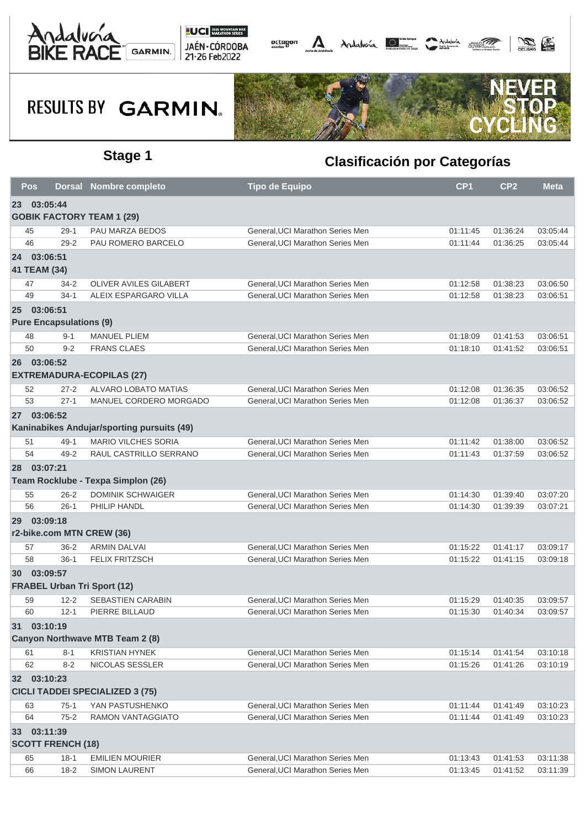





| Pos      |                                | <b>Dorsal Nombre completo</b>              | <b>Tipo de Equipo</b>                                                | CP <sub>1</sub>      | CP <sub>2</sub>      | <b>Meta</b> |
|----------|--------------------------------|--------------------------------------------|----------------------------------------------------------------------|----------------------|----------------------|-------------|
| 23       | 03:05:44                       |                                            |                                                                      |                      |                      |             |
|          |                                | <b>GOBIK FACTORY TEAM 1 (29)</b>           |                                                                      |                      |                      |             |
| 45       | $29-1$                         | PAU MARZA BEDOS                            | General, UCI Marathon Series Men                                     | 01:11:45             | 01:36:24             | 03:05:44    |
| 46       | $29 - 2$                       | PAU ROMERO BARCELO                         | General.UCI Marathon Series Men                                      | 01:11:44             | 01:36:25             | 03:05:44    |
|          | 24 03:06:51                    |                                            |                                                                      |                      |                      |             |
|          | 41 TEAM (34)                   |                                            |                                                                      |                      |                      |             |
| 47       | $34 - 2$                       | OLIVER AVILES GILABERT                     | General, UCI Marathon Series Men                                     | 01:12:58             | 01:38:23             | 03:06:50    |
| 49       | $34-1$                         | ALEIX ESPARGARO VILLA                      | General, UCI Marathon Series Men                                     | 01:12:58             | 01:38:23             | 03:06:51    |
| $25 -$   | 03:06:51                       |                                            |                                                                      |                      |                      |             |
|          | <b>Pure Encapsulations (9)</b> |                                            |                                                                      |                      |                      |             |
| 48       | $9 - 1$                        | <b>MANUEL PLIEM</b>                        | General, UCI Marathon Series Men                                     | 01:18:09             | 01:41:53             | 03:06:51    |
| 50       | $9 - 2$                        | <b>FRANS CLAES</b>                         | General, UCI Marathon Series Men                                     | 01:18:10             | 01:41:52             | 03:06:51    |
|          | 26 03:06:52                    |                                            |                                                                      |                      |                      |             |
|          |                                | <b>EXTREMADURA-ECOPILAS (27)</b>           |                                                                      |                      |                      |             |
| 52       | $27 - 2$                       | ALVARO LOBATO MATIAS                       | General, UCI Marathon Series Men                                     | 01:12:08             | 01:36:35             | 03:06:52    |
| 53       | $27 - 1$                       | MANUEL CORDERO MORGADO                     | General, UCI Marathon Series Men                                     | 01:12:08             | 01:36:37             | 03:06:52    |
| 27       | 03:06:52                       |                                            |                                                                      |                      |                      |             |
|          |                                | Kaninabikes Andujar/sporting pursuits (49) |                                                                      |                      |                      |             |
| 51       | $49-1$                         | <b>MARIO VILCHES SORIA</b>                 | General, UCI Marathon Series Men                                     | 01:11:42             | 01:38:00             | 03:06:52    |
| 54       | $49 - 2$                       | RAUL CASTRILLO SERRANO                     | General, UCI Marathon Series Men                                     | 01:11:43             | 01:37:59             | 03:06:52    |
|          | 28 03:07:21                    |                                            |                                                                      |                      |                      |             |
|          |                                | Team Rocklube - Texpa Simplon (26)         |                                                                      |                      |                      |             |
| 55       | $26 - 2$                       | <b>DOMINIK SCHWAIGER</b>                   | General, UCI Marathon Series Men                                     | 01:14:30             | 01:39:40             | 03:07:20    |
| 56       | $26-1$                         | PHILIP HANDL                               | General, UCI Marathon Series Men                                     | 01:14:30             | 01:39:39             | 03:07:21    |
|          | 29 03:09:18                    |                                            |                                                                      |                      |                      |             |
|          |                                | r2-bike.com MTN CREW (36)                  |                                                                      |                      |                      |             |
| 57       | $36 - 2$                       | <b>ARMIN DALVAI</b>                        | General, UCI Marathon Series Men                                     | 01:15:22             | 01:41:17             | 03:09:17    |
| 58       | $36-1$                         | FELIX FRITZSCH                             | General, UCI Marathon Series Men                                     | 01:15:22             | 01:41:15             | 03:09:18    |
|          | 30 03:09:57                    |                                            |                                                                      |                      |                      |             |
|          |                                | <b>FRABEL Urban Tri Sport (12)</b>         |                                                                      |                      |                      |             |
| 59       | $12 - 2$                       | <b>SEBASTIEN CARABIN</b>                   | General, UCI Marathon Series Men                                     | 01:15:29             | 01:40:35             | 03:09:57    |
| 60       | $12 - 1$                       | PIERRE BILLAUD                             | General, UCI Marathon Series Men                                     | 01:15:30             | 01:40:34             | 03:09:57    |
|          |                                |                                            |                                                                      |                      |                      |             |
| 31       | 03:10:19                       | <b>Canyon Northwave MTB Team 2 (8)</b>     |                                                                      |                      |                      |             |
|          |                                | <b>KRISTIAN HYNEK</b>                      |                                                                      |                      |                      | 03:10:18    |
| 61<br>62 | $8 - 1$<br>$8 - 2$             | NICOLAS SESSLER                            | General, UCI Marathon Series Men<br>General, UCI Marathon Series Men | 01:15:14<br>01:15:26 | 01:41:54<br>01:41:26 | 03:10:19    |
|          |                                |                                            |                                                                      |                      |                      |             |
|          | 32 03:10:23                    |                                            |                                                                      |                      |                      |             |
|          |                                | <b>CICLI TADDEI SPECIALIZED 3 (75)</b>     |                                                                      |                      |                      |             |
| 63       | $75-1$                         | YAN PASTUSHENKO                            | General, UCI Marathon Series Men                                     | 01:11:44             | 01:41:49             | 03:10:23    |
| 64       | $75 - 2$                       | <b>RAMON VANTAGGIATO</b>                   | General, UCI Marathon Series Men                                     | 01:11:44             | 01:41:49             | 03:10:23    |
|          | 33 03:11:39                    |                                            |                                                                      |                      |                      |             |
|          | <b>SCOTT FRENCH (18)</b>       |                                            |                                                                      |                      |                      |             |
| 65       | $18-1$                         | <b>EMILIEN MOURIER</b>                     | General, UCI Marathon Series Men                                     | 01:13:43             | 01:41:53             | 03:11:38    |
| 66       | $18-2$                         | <b>SIMON LAURENT</b>                       | General, UCI Marathon Series Men                                     | 01:13:45             | 01:41:52             | 03:11:39    |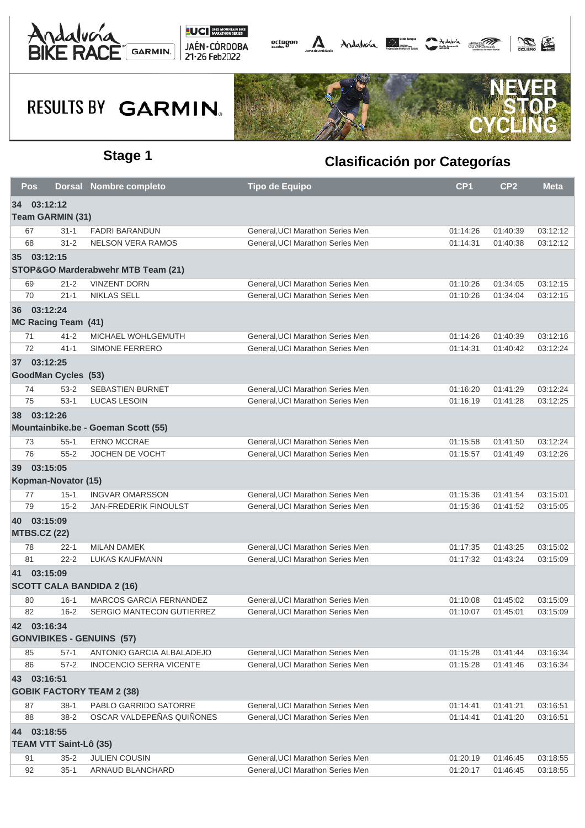





| Pos                           |          | <b>Dorsal Nombre completo</b>       | <b>Tipo de Equipo</b>            | CP <sub>1</sub> | CP <sub>2</sub> | <b>Meta</b> |
|-------------------------------|----------|-------------------------------------|----------------------------------|-----------------|-----------------|-------------|
| 34 03:12:12                   |          |                                     |                                  |                 |                 |             |
| <b>Team GARMIN (31)</b>       |          |                                     |                                  |                 |                 |             |
| 67                            | $31 - 1$ | <b>FADRI BARANDUN</b>               | General, UCI Marathon Series Men | 01:14:26        | 01:40:39        | 03:12:12    |
| 68                            | $31 - 2$ | <b>NELSON VERA RAMOS</b>            | General, UCI Marathon Series Men | 01:14:31        | 01:40:38        | 03:12:12    |
| 35 03:12:15                   |          |                                     |                                  |                 |                 |             |
|                               |          | STOP&GO Marderabwehr MTB Team (21)  |                                  |                 |                 |             |
| 69                            | $21 - 2$ | <b>VINZENT DORN</b>                 | General, UCI Marathon Series Men | 01:10:26        | 01:34:05        | 03:12:15    |
| 70                            | $21 - 1$ | <b>NIKLAS SELL</b>                  | General, UCI Marathon Series Men | 01:10:26        | 01:34:04        | 03:12:15    |
| 36 03:12:24                   |          |                                     |                                  |                 |                 |             |
| <b>MC Racing Team (41)</b>    |          |                                     |                                  |                 |                 |             |
| 71                            | $41 - 2$ | MICHAEL WOHLGEMUTH                  | General, UCI Marathon Series Men | 01:14:26        | 01:40:39        | 03:12:16    |
| 72                            | $41 - 1$ | SIMONE FERRERO                      | General, UCI Marathon Series Men | 01:14:31        | 01:40:42        | 03:12:24    |
| 37 03:12:25                   |          |                                     |                                  |                 |                 |             |
| <b>GoodMan Cycles (53)</b>    |          |                                     |                                  |                 |                 |             |
| 74                            | $53 - 2$ | <b>SEBASTIEN BURNET</b>             | General, UCI Marathon Series Men | 01:16:20        | 01:41:29        | 03:12:24    |
| 75                            | $53-1$   | <b>LUCAS LESOIN</b>                 | General, UCI Marathon Series Men | 01:16:19        | 01:41:28        | 03:12:25    |
| 38 03:12:26                   |          |                                     |                                  |                 |                 |             |
|                               |          | Mountainbike.be - Goeman Scott (55) |                                  |                 |                 |             |
| 73                            | $55 - 1$ | <b>ERNO MCCRAE</b>                  | General, UCI Marathon Series Men | 01:15:58        | 01:41:50        | 03:12:24    |
| 76                            | $55 - 2$ | <b>JOCHEN DE VOCHT</b>              | General, UCI Marathon Series Men | 01:15:57        | 01:41:49        | 03:12:26    |
| 39 03:15:05                   |          |                                     |                                  |                 |                 |             |
| Kopman-Novator (15)           |          |                                     |                                  |                 |                 |             |
| 77                            | $15 - 1$ | <b>INGVAR OMARSSON</b>              | General, UCI Marathon Series Men | 01:15:36        | 01:41:54        | 03:15:01    |
| 79                            | $15 - 2$ | JAN-FREDERIK FINOULST               | General, UCI Marathon Series Men | 01:15:36        | 01:41:52        | 03:15:05    |
| 40 03:15:09                   |          |                                     |                                  |                 |                 |             |
| <b>MTBS.CZ (22)</b>           |          |                                     |                                  |                 |                 |             |
| 78                            | $22 - 1$ | <b>MILAN DAMEK</b>                  | General, UCI Marathon Series Men | 01:17:35        | 01:43:25        | 03:15:02    |
| 81                            | $22 - 2$ | <b>LUKAS KAUFMANN</b>               | General, UCI Marathon Series Men | 01:17:32        | 01:43:24        | 03:15:09    |
| 41 03:15:09                   |          |                                     |                                  |                 |                 |             |
|                               |          | <b>SCOTT CALA BANDIDA 2 (16)</b>    |                                  |                 |                 |             |
| 80                            | $16 - 1$ | MARCOS GARCIA FERNANDEZ             | General, UCI Marathon Series Men | 01:10:08        | 01:45:02        | 03:15:09    |
| 82                            | $16 - 2$ | SERGIO MANTECON GUTIERREZ           | General, UCI Marathon Series Men | 01:10:07        | 01:45:01        | 03:15:09    |
| 42 03:16:34                   |          |                                     |                                  |                 |                 |             |
|                               |          | <b>GONVIBIKES - GENUINS (57)</b>    |                                  |                 |                 |             |
| 85                            | $57-1$   | ANTONIO GARCIA ALBALADEJO           | General, UCI Marathon Series Men | 01:15:28        | 01:41:44        | 03:16:34    |
| 86                            | $57 - 2$ | <b>INOCENCIO SERRA VICENTE</b>      | General, UCI Marathon Series Men | 01:15:28        | 01:41:46        | 03:16:34    |
| 43 03:16:51                   |          |                                     |                                  |                 |                 |             |
|                               |          | <b>GOBIK FACTORY TEAM 2 (38)</b>    |                                  |                 |                 |             |
| 87                            | $38-1$   | PABLO GARRIDO SATORRE               | General, UCI Marathon Series Men | 01:14:41        | 01:41:21        | 03:16:51    |
| 88                            | $38 - 2$ | OSCAR VALDEPEÑAS QUIÑONES           | General, UCI Marathon Series Men | 01:14:41        | 01:41:20        | 03:16:51    |
| 44 03:18:55                   |          |                                     |                                  |                 |                 |             |
| <b>TEAM VTT Saint-Lô (35)</b> |          |                                     |                                  |                 |                 |             |
| 91                            | $35 - 2$ | <b>JULIEN COUSIN</b>                | General, UCI Marathon Series Men | 01:20:19        | 01:46:45        | 03:18:55    |
| 92                            | $35-1$   | ARNAUD BLANCHARD                    | General, UCI Marathon Series Men | 01:20:17        | 01:46:45        | 03:18:55    |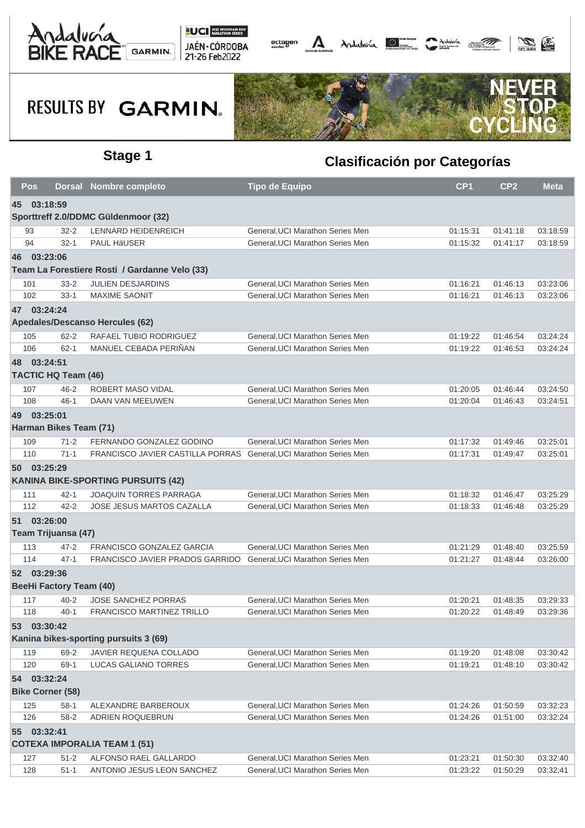





|    | Pos                     | <b>Dorsal</b>                  | <b>Nombre completo</b>                                            | <b>Tipo de Equipo</b>            | CP <sub>1</sub> | CP <sub>2</sub> | <b>Meta</b> |
|----|-------------------------|--------------------------------|-------------------------------------------------------------------|----------------------------------|-----------------|-----------------|-------------|
| 45 | 03:18:59                |                                |                                                                   |                                  |                 |                 |             |
|    |                         |                                | Sporttreff 2.0/DDMC Güldenmoor (32)                               |                                  |                 |                 |             |
|    | 93                      | $32 - 2$                       | LENNARD HEIDENREICH                                               | General, UCI Marathon Series Men | 01:15:31        | 01:41:18        | 03:18:59    |
|    | 94                      | $32 - 1$                       | <b>PAUL HäUSER</b>                                                | General, UCI Marathon Series Men | 01:15:32        | 01:41:17        | 03:18:59    |
|    | 46 03:23:06             |                                |                                                                   |                                  |                 |                 |             |
|    |                         |                                | Team La Forestiere Rosti / Gardanne Velo (33)                     |                                  |                 |                 |             |
|    | 101                     | $33 - 2$                       | <b>JULIEN DESJARDINS</b>                                          | General, UCI Marathon Series Men | 01:16:21        | 01:46:13        | 03:23:06    |
|    | 102                     | $33-1$                         | <b>MAXIME SAONIT</b>                                              | General, UCI Marathon Series Men | 01:16:21        | 01:46:13        | 03:23:06    |
|    | 47 03:24:24             |                                |                                                                   |                                  |                 |                 |             |
|    |                         |                                | Apedales/Descanso Hercules (62)                                   |                                  |                 |                 |             |
|    | 105                     | $62 - 2$                       | RAFAEL TUBIO RODRIGUEZ                                            | General, UCI Marathon Series Men | 01:19:22        | 01:46:54        | 03:24:24    |
|    | 106                     | $62 - 1$                       | MANUEL CEBADA PERIÑAN                                             | General, UCI Marathon Series Men | 01:19:22        | 01:46:53        | 03:24:24    |
|    | 48 03:24:51             |                                |                                                                   |                                  |                 |                 |             |
|    |                         | <b>TACTIC HQ Team (46)</b>     |                                                                   |                                  |                 |                 |             |
|    | 107                     | $46 - 2$                       | ROBERT MASO VIDAL                                                 | General, UCI Marathon Series Men | 01:20:05        | 01:46:44        | 03:24:50    |
|    | 108                     | $46 - 1$                       | DAAN VAN MEEUWEN                                                  | General, UCI Marathon Series Men | 01:20:04        | 01:46:43        | 03:24:51    |
|    | 49 03:25:01             |                                |                                                                   |                                  |                 |                 |             |
|    |                         | Harman Bikes Team (71)         |                                                                   |                                  |                 |                 |             |
|    | 109                     | $71 - 2$                       | FERNANDO GONZALEZ GODINO                                          | General, UCI Marathon Series Men | 01:17:32        | 01:49:46        | 03:25:01    |
|    | 110                     | $71-1$                         | FRANCISCO JAVIER CASTILLA PORRAS General, UCI Marathon Series Men |                                  | 01:17:31        | 01:49:47        | 03:25:01    |
|    | 50 03:25:29             |                                |                                                                   |                                  |                 |                 |             |
|    |                         |                                | <b>KANINA BIKE-SPORTING PURSUITS (42)</b>                         |                                  |                 |                 |             |
|    | 111                     | $42 - 1$                       | JOAQUIN TORRES PARRAGA                                            | General, UCI Marathon Series Men | 01:18:32        | 01:46:47        | 03:25:29    |
|    | 112                     | $42 - 2$                       | JOSE JESUS MARTOS CAZALLA                                         | General, UCI Marathon Series Men | 01:18:33        | 01:46:48        | 03:25:29    |
|    | 51 03:26:00             |                                |                                                                   |                                  |                 |                 |             |
|    |                         | Team Trijuansa (47)            |                                                                   |                                  |                 |                 |             |
|    | 113                     | $47 - 2$                       | FRANCISCO GONZALEZ GARCIA                                         | General, UCI Marathon Series Men | 01:21:29        | 01:48:40        | 03:25:59    |
|    | 114                     | $47 - 1$                       | FRANCISCO JAVIER PRADOS GARRIDO                                   | General, UCI Marathon Series Men | 01:21:27        | 01:48:44        | 03:26:00    |
|    | 52 03:29:36             |                                |                                                                   |                                  |                 |                 |             |
|    |                         | <b>BeeHi Factory Team (40)</b> |                                                                   |                                  |                 |                 |             |
|    | 117                     | $40 - 2$                       | <b>JOSE SANCHEZ PORRAS</b>                                        | General, UCI Marathon Series Men | 01:20:21        | 01:48:35        | 03:29:33    |
|    | 118                     | $40 - 1$                       | <b>FRANCISCO MARTINEZ TRILLO</b>                                  | General, UCI Marathon Series Men | 01:20:22        | 01:48:49        | 03:29:36    |
|    | 53 03:30:42             |                                |                                                                   |                                  |                 |                 |             |
|    |                         |                                | Kanina bikes-sporting pursuits 3 (69)                             |                                  |                 |                 |             |
|    | 119                     | 69-2                           | JAVIER REQUENA COLLADO                                            | General, UCI Marathon Series Men | 01:19:20        | 01:48:08        | 03:30:42    |
|    | 120                     | $69-1$                         | LUCAS GALIANO TORRES                                              | General, UCI Marathon Series Men | 01:19:21        | 01:48:10        | 03:30:42    |
|    | 54 03:32:24             |                                |                                                                   |                                  |                 |                 |             |
|    | <b>Bike Corner (58)</b> |                                |                                                                   |                                  |                 |                 |             |
|    | 125                     | $58-1$                         | ALEXANDRE BARBEROUX                                               | General, UCI Marathon Series Men | 01:24:26        | 01:50:59        | 03:32:23    |
|    | 126                     | $58 - 2$                       | ADRIEN ROQUEBRUN                                                  | General, UCI Marathon Series Men | 01:24:26        | 01:51:00        | 03:32:24    |
|    | 55 03:32:41             |                                |                                                                   |                                  |                 |                 |             |
|    |                         |                                | <b>COTEXA IMPORALIA TEAM 1 (51)</b>                               |                                  |                 |                 |             |
|    | 127                     | $51 - 2$                       | ALFONSO RAEL GALLARDO                                             | General, UCI Marathon Series Men | 01:23:21        | 01:50:30        | 03:32:40    |
|    | 128                     | $51-1$                         | ANTONIO JESUS LEON SANCHEZ                                        | General, UCI Marathon Series Men | 01:23:22        | 01:50:29        | 03:32:41    |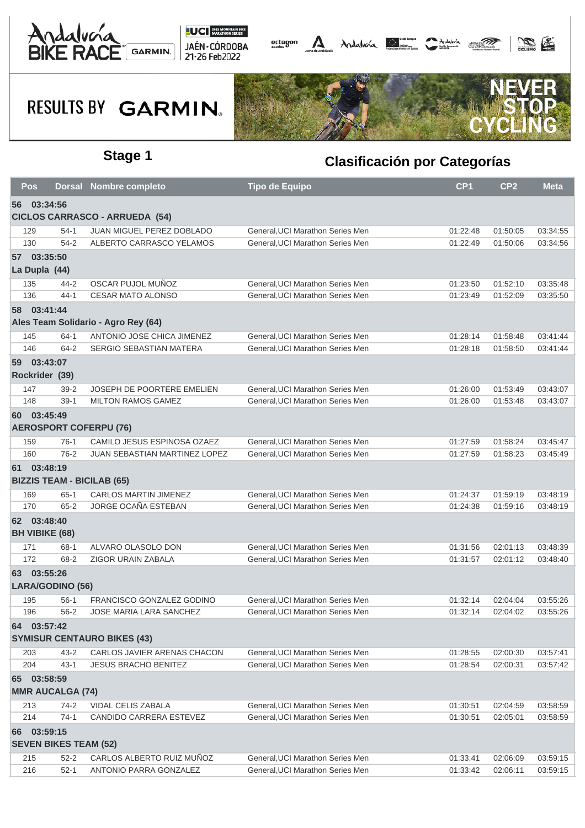





| Pos         |                                   | <b>Dorsal Nombre completo</b>         | <b>Tipo de Equipo</b>            | CP <sub>1</sub> | CP <sub>2</sub> | <b>Meta</b> |
|-------------|-----------------------------------|---------------------------------------|----------------------------------|-----------------|-----------------|-------------|
| 56 03:34:56 |                                   |                                       |                                  |                 |                 |             |
|             |                                   | <b>CICLOS CARRASCO - ARRUEDA (54)</b> |                                  |                 |                 |             |
| 129         | $54-1$                            | JUAN MIGUEL PEREZ DOBLADO             | General, UCI Marathon Series Men | 01:22:48        | 01:50:05        | 03:34:55    |
| 130         | $54 - 2$                          | ALBERTO CARRASCO YELAMOS              | General, UCI Marathon Series Men | 01:22:49        | 01:50:06        | 03:34:56    |
|             | 57 03:35:50                       |                                       |                                  |                 |                 |             |
|             | La Dupla (44)                     |                                       |                                  |                 |                 |             |
| 135         | 44-2                              | OSCAR PUJOL MUÑOZ                     | General, UCI Marathon Series Men | 01:23:50        | 01:52:10        | 03:35:48    |
| 136         | $44 - 1$                          | <b>CESAR MATO ALONSO</b>              | General, UCI Marathon Series Men | 01:23:49        | 01:52:09        | 03:35:50    |
| 58 03:41:44 |                                   |                                       |                                  |                 |                 |             |
|             |                                   | Ales Team Solidario - Agro Rey (64)   |                                  |                 |                 |             |
| 145         | $64-1$                            | ANTONIO JOSE CHICA JIMENEZ            | General, UCI Marathon Series Men | 01:28:14        | 01:58:48        | 03:41:44    |
| 146         | $64 - 2$                          | SERGIO SEBASTIAN MATERA               | General, UCI Marathon Series Men | 01:28:18        | 01:58:50        | 03:41:44    |
| 59 03:43:07 |                                   |                                       |                                  |                 |                 |             |
|             | Rockrider (39)                    |                                       |                                  |                 |                 |             |
| 147         | $39 - 2$                          | <b>JOSEPH DE POORTERE EMELIEN</b>     | General, UCI Marathon Series Men | 01:26:00        | 01:53:49        | 03:43:07    |
| 148         | $39-1$                            | <b>MILTON RAMOS GAMEZ</b>             | General, UCI Marathon Series Men | 01:26:00        | 01:53:48        | 03:43:07    |
| 60 03:45:49 |                                   |                                       |                                  |                 |                 |             |
|             | <b>AEROSPORT COFERPU (76)</b>     |                                       |                                  |                 |                 |             |
| 159         | $76-1$                            | CAMILO JESUS ESPINOSA OZAEZ           | General, UCI Marathon Series Men | 01:27:59        | 01:58:24        | 03:45:47    |
| 160         | $76-2$                            | JUAN SEBASTIAN MARTINEZ LOPEZ         | General, UCI Marathon Series Men | 01:27:59        | 01:58:23        | 03:45:49    |
| 61 03:48:19 |                                   |                                       |                                  |                 |                 |             |
|             | <b>BIZZIS TEAM - BICILAB (65)</b> |                                       |                                  |                 |                 |             |
| 169         | $65-1$                            | <b>CARLOS MARTIN JIMENEZ</b>          | General, UCI Marathon Series Men | 01:24:37        | 01:59:19        | 03:48:19    |
| 170         | $65 - 2$                          | JORGE OCAÑA ESTEBAN                   | General, UCI Marathon Series Men | 01:24:38        | 01:59:16        | 03:48:19    |
| 62 03:48:40 |                                   |                                       |                                  |                 |                 |             |
|             | <b>BH VIBIKE (68)</b>             |                                       |                                  |                 |                 |             |
| 171         | 68-1                              | ALVARO OLASOLO DON                    | General, UCI Marathon Series Men | 01:31:56        | 02:01:13        | 03:48:39    |
| 172         | 68-2                              | ZIGOR URAIN ZABALA                    | General, UCI Marathon Series Men | 01:31:57        | 02:01:12        | 03:48:40    |
| 63 03:55:26 |                                   |                                       |                                  |                 |                 |             |
|             | LARA/GODINO (56)                  |                                       |                                  |                 |                 |             |
| 195         | $56-1$                            | FRANCISCO GONZALEZ GODINO             | General, UCI Marathon Series Men | 01:32:14        | 02:04:04        | 03:55:26    |
| 196         | $56 - 2$                          | JOSE MARIA LARA SANCHEZ               | General, UCI Marathon Series Men | 01:32:14        | 02:04:02        | 03:55:26    |
| 64 03:57:42 |                                   |                                       |                                  |                 |                 |             |
|             |                                   | <b>SYMISUR CENTAURO BIKES (43)</b>    |                                  |                 |                 |             |
| 203         | $43 - 2$                          | CARLOS JAVIER ARENAS CHACON           | General, UCI Marathon Series Men | 01:28:55        | 02:00:30        | 03:57:41    |
| 204         | $43 - 1$                          | <b>JESUS BRACHO BENITEZ</b>           | General, UCI Marathon Series Men | 01:28:54        | 02:00:31        | 03:57:42    |
| 65 03:58:59 |                                   |                                       |                                  |                 |                 |             |
|             | <b>MMR AUCALGA (74)</b>           |                                       |                                  |                 |                 |             |
| 213         | $74-2$                            | VIDAL CELIS ZABALA                    | General, UCI Marathon Series Men | 01:30:51        | 02:04:59        | 03:58:59    |
| 214         | $74-1$                            | CANDIDO CARRERA ESTEVEZ               | General, UCI Marathon Series Men | 01:30:51        | 02:05:01        | 03:58:59    |
| 66 03:59:15 |                                   |                                       |                                  |                 |                 |             |
|             | <b>SEVEN BIKES TEAM (52)</b>      |                                       |                                  |                 |                 |             |
| 215         | $52 - 2$                          | CARLOS ALBERTO RUIZ MUNOZ             | General, UCI Marathon Series Men | 01:33:41        | 02:06:09        | 03:59:15    |
| 216         | $52-1$                            | ANTONIO PARRA GONZALEZ                | General, UCI Marathon Series Men | 01:33:42        | 02:06:11        | 03:59:15    |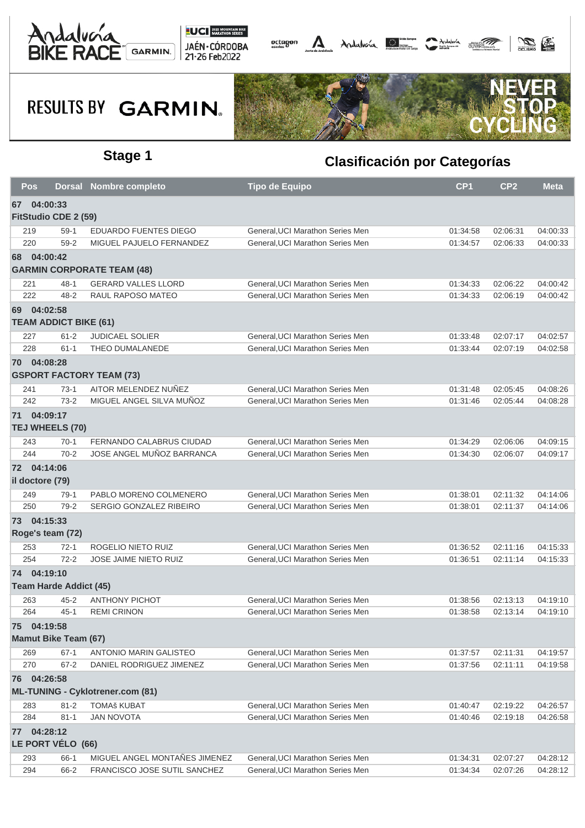





| Pos |                               | <b>Dorsal Nombre completo</b>           | <b>Tipo de Equipo</b>            | CP <sub>1</sub> | CP <sub>2</sub> | <b>Meta</b> |
|-----|-------------------------------|-----------------------------------------|----------------------------------|-----------------|-----------------|-------------|
| 67  | 04:00:33                      |                                         |                                  |                 |                 |             |
|     | <b>FitStudio CDE 2 (59)</b>   |                                         |                                  |                 |                 |             |
| 219 | $59-1$                        | EDUARDO FUENTES DIEGO                   | General, UCI Marathon Series Men | 01:34:58        | 02:06:31        | 04:00:33    |
| 220 | $59-2$                        | MIGUEL PAJUELO FERNANDEZ                | General, UCI Marathon Series Men | 01:34:57        | 02:06:33        | 04:00:33    |
|     | 68 04:00:42                   |                                         |                                  |                 |                 |             |
|     |                               | <b>GARMIN CORPORATE TEAM (48)</b>       |                                  |                 |                 |             |
| 221 | $48 - 1$                      | <b>GERARD VALLES LLORD</b>              | General, UCI Marathon Series Men | 01:34:33        | 02:06:22        | 04:00:42    |
| 222 | $48 - 2$                      | RAUL RAPOSO MATEO                       | General, UCI Marathon Series Men | 01:34:33        | 02:06:19        | 04:00:42    |
|     | 69 04:02:58                   |                                         |                                  |                 |                 |             |
|     | <b>TEAM ADDICT BIKE (61)</b>  |                                         |                                  |                 |                 |             |
| 227 | $61 - 2$                      | <b>JUDICAEL SOLIER</b>                  | General, UCI Marathon Series Men | 01:33:48        | 02:07:17        | 04:02:57    |
| 228 | $61 - 1$                      | THEO DUMALANEDE                         | General, UCI Marathon Series Men | 01:33:44        | 02:07:19        | 04:02:58    |
|     | 70 04:08:28                   |                                         |                                  |                 |                 |             |
|     |                               | <b>GSPORT FACTORY TEAM (73)</b>         |                                  |                 |                 |             |
| 241 | $73-1$                        | AITOR MELENDEZ NUÑEZ                    | General, UCI Marathon Series Men | 01:31:48        | 02:05:45        | 04:08:26    |
| 242 | $73-2$                        | MIGUEL ANGEL SILVA MUÑOZ                | General, UCI Marathon Series Men | 01:31:46        | 02:05:44        | 04:08:28    |
| 71  | 04:09:17                      |                                         |                                  |                 |                 |             |
|     | TEJ WHEELS (70)               |                                         |                                  |                 |                 |             |
| 243 | $70-1$                        | FERNANDO CALABRUS CIUDAD                | General, UCI Marathon Series Men | 01:34:29        | 02:06:06        | 04:09:15    |
| 244 | $70 - 2$                      | JOSE ANGEL MUÑOZ BARRANCA               | General, UCI Marathon Series Men | 01:34:30        | 02:06:07        | 04:09:17    |
|     | 72 04:14:06                   |                                         |                                  |                 |                 |             |
|     | il doctore (79)               |                                         |                                  |                 |                 |             |
| 249 | $79-1$                        | PABLO MORENO COLMENERO                  | General, UCI Marathon Series Men | 01:38:01        | 02:11:32        | 04:14:06    |
| 250 | $79-2$                        | SERGIO GONZALEZ RIBEIRO                 | General, UCI Marathon Series Men | 01:38:01        | 02:11:37        | 04:14:06    |
|     | 73 04:15:33                   |                                         |                                  |                 |                 |             |
|     | Roge's team (72)              |                                         |                                  |                 |                 |             |
| 253 | 72-1                          | ROGELIO NIETO RUIZ                      | General, UCI Marathon Series Men | 01:36:52        | 02:11:16        | 04:15:33    |
| 254 | $72 - 2$                      | JOSE JAIME NIETO RUIZ                   | General, UCI Marathon Series Men | 01:36:51        | 02:11:14        | 04:15:33    |
|     | 74 04:19:10                   |                                         |                                  |                 |                 |             |
|     | <b>Team Harde Addict (45)</b> |                                         |                                  |                 |                 |             |
|     |                               |                                         |                                  |                 |                 |             |
| 263 | $45 - 2$                      | <b>ANTHONY PICHOT</b>                   | General, UCI Marathon Series Men | 01:38:56        | 02:13:13        | 04:19:10    |
| 264 | $45 - 1$                      | <b>REMI CRINON</b>                      | General, UCI Marathon Series Men | 01:38:58        | 02:13:14        | 04:19:10    |
|     | 75 04:19:58                   |                                         |                                  |                 |                 |             |
|     | <b>Mamut Bike Team (67)</b>   |                                         |                                  |                 |                 |             |
| 269 | $67 - 1$                      | ANTONIO MARIN GALISTEO                  | General, UCI Marathon Series Men | 01:37:57        | 02:11:31        | 04:19:57    |
| 270 | $67 - 2$                      | DANIEL RODRIGUEZ JIMENEZ                | General, UCI Marathon Series Men | 01:37:56        | 02:11:11        | 04:19:58    |
|     | 76 04:26:58                   |                                         |                                  |                 |                 |             |
|     |                               | <b>ML-TUNING - Cyklotrener.com (81)</b> |                                  |                 |                 |             |
| 283 | $81 - 2$                      | <b>TOMAš KUBAT</b>                      | General, UCI Marathon Series Men | 01:40:47        | 02:19:22        | 04:26:57    |
| 284 | $81 - 1$                      | <b>JAN NOVOTA</b>                       | General, UCI Marathon Series Men | 01:40:46        | 02:19:18        | 04:26:58    |
|     | 77 04:28:12                   |                                         |                                  |                 |                 |             |
|     | LE PORT VÉLO (66)             |                                         |                                  |                 |                 |             |
| 293 | 66-1                          | MIGUEL ANGEL MONTAÑES JIMENEZ           | General, UCI Marathon Series Men | 01:34:31        | 02:07:27        | 04:28:12    |
| 294 | 66-2                          | FRANCISCO JOSE SUTIL SANCHEZ            | General, UCI Marathon Series Men | 01:34:34        | 02:07:26        | 04:28:12    |